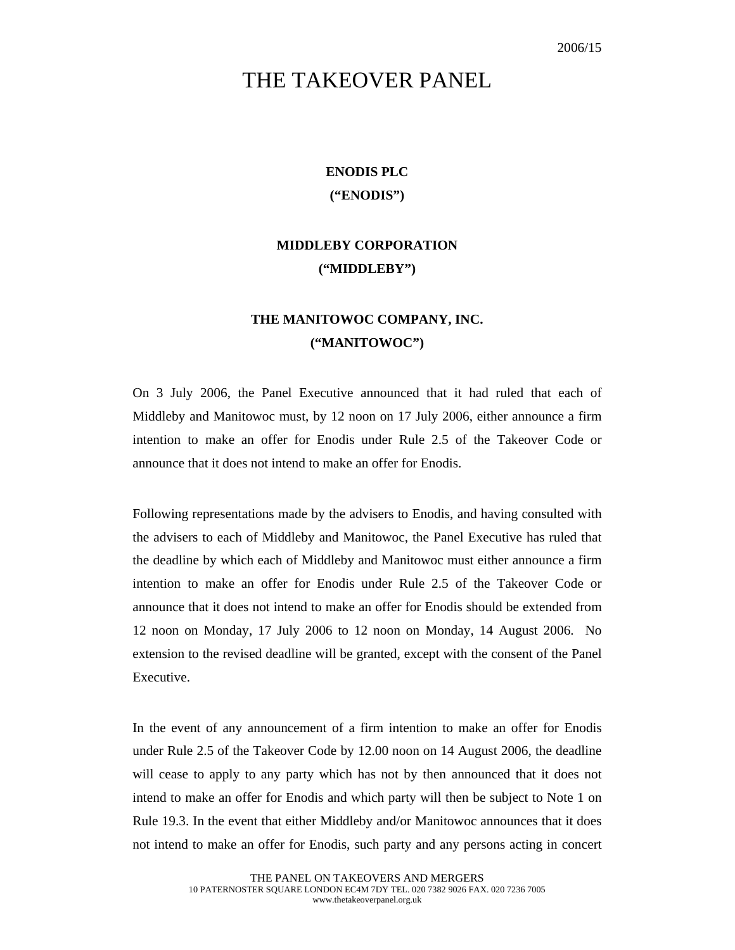## THE TAKEOVER PANEL

## **ENODIS PLC ("ENODIS")**

## **MIDDLEBY CORPORATION ("MIDDLEBY")**

## **THE MANITOWOC COMPANY, INC. ("MANITOWOC")**

On 3 July 2006, the Panel Executive announced that it had ruled that each of Middleby and Manitowoc must, by 12 noon on 17 July 2006, either announce a firm intention to make an offer for Enodis under Rule 2.5 of the Takeover Code or announce that it does not intend to make an offer for Enodis.

Following representations made by the advisers to Enodis, and having consulted with the advisers to each of Middleby and Manitowoc, the Panel Executive has ruled that the deadline by which each of Middleby and Manitowoc must either announce a firm intention to make an offer for Enodis under Rule 2.5 of the Takeover Code or announce that it does not intend to make an offer for Enodis should be extended from 12 noon on Monday, 17 July 2006 to 12 noon on Monday, 14 August 2006. No extension to the revised deadline will be granted, except with the consent of the Panel Executive.

In the event of any announcement of a firm intention to make an offer for Enodis under Rule 2.5 of the Takeover Code by 12.00 noon on 14 August 2006, the deadline will cease to apply to any party which has not by then announced that it does not intend to make an offer for Enodis and which party will then be subject to Note 1 on Rule 19.3. In the event that either Middleby and/or Manitowoc announces that it does not intend to make an offer for Enodis, such party and any persons acting in concert